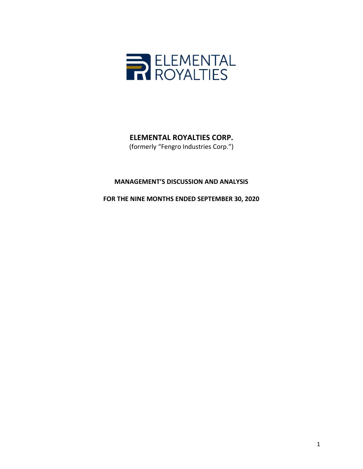

# **ELEMENTAL ROYALTIES CORP.**

(formerly "Fengro Industries Corp.")

# **MANAGEMENT'S DISCUSSION AND ANALYSIS**

**FOR THE NINE MONTHS ENDED SEPTEMBER 30, 2020**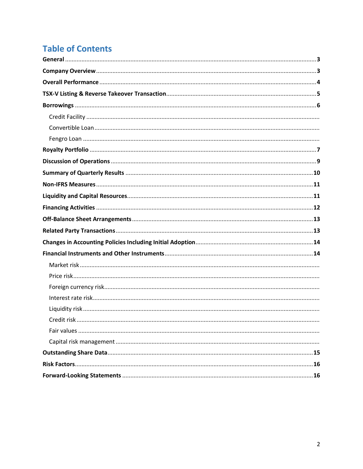# **Table of Contents**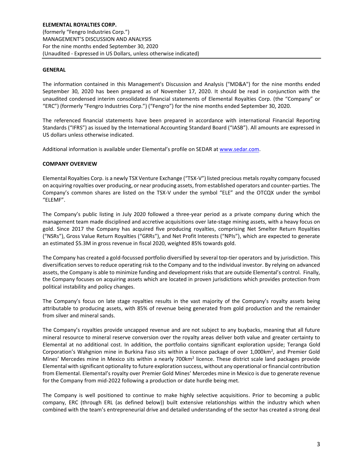#### **GENERAL**

The information contained in this Management's Discussion and Analysis ("MD&A") for the nine months ended September 30, 2020 has been prepared as of November 17, 2020. It should be read in conjunction with the unaudited condensed interim consolidated financial statements of Elemental Royalties Corp. (the "Company" or "ERC") (formerly "Fengro Industries Corp.") ("Fengro") for the nine months ended September 30, 2020.

The referenced financial statements have been prepared in accordance with international Financial Reporting Standards ("IFRS") as issued by the International Accounting Standard Board ("IASB"). All amounts are expressed in US dollars unless otherwise indicated.

Additional information is available under Elemental's profile on SEDAR at [www.sedar.com.](http://www.sedar.com/)

#### **COMPANY OVERVIEW**

Elemental Royalties Corp. is a newly TSX Venture Exchange ("TSX-V") listed precious metals royalty company focused on acquiring royalties over producing, or near producing assets, from established operators and counter-parties. The Company's common shares are listed on the TSX-V under the symbol "ELE" and the OTCQX under the symbol "ELEMF".

The Company's public listing in July 2020 followed a three-year period as a private company during which the management team made disciplined and accretive acquisitions over late-stage mining assets, with a heavy focus on gold. Since 2017 the Company has acquired five producing royalties, comprising Net Smelter Return Royalties ("NSRs"), Gross Value Return Royalties ("GRRs"), and Net Profit Interests ("NPIs"), which are expected to generate an estimated \$5.3M in gross revenue in fiscal 2020, weighted 85% towards gold.

The Company has created a gold-focussed portfolio diversified by several top-tier operators and by jurisdiction. This diversification serves to reduce operating risk to the Company and to the individual investor. By relying on advanced assets, the Company is able to minimize funding and development risks that are outside Elemental's control. Finally, the Company focuses on acquiring assets which are located in proven jurisdictions which provides protection from political instability and policy changes.

The Company's focus on late stage royalties results in the vast majority of the Company's royalty assets being attributable to producing assets, with 85% of revenue being generated from gold production and the remainder from silver and mineral sands.

The Company's royalties provide uncapped revenue and are not subject to any buybacks, meaning that all future mineral resource to mineral reserve conversion over the royalty areas deliver both value and greater certainty to Elemental at no additional cost. In addition, the portfolio contains significant exploration upside; Teranga Gold Corporation's Wahgnion mine in Burkina Faso sits within a licence package of over 1,000km<sup>2</sup>, and Premier Gold Mines' Mercedes mine in Mexico sits within a nearly 700km<sup>2</sup> licence. These district scale land packages provide Elemental with significant optionality to future exploration success, without any operational or financial contribution from Elemental. Elemental's royalty over Premier Gold Mines' Mercedes mine in Mexico is due to generate revenue for the Company from mid-2022 following a production or date hurdle being met.

The Company is well positioned to continue to make highly selective acquisitions. Prior to becoming a public company, ERC (through ERL (as defined below)) built extensive relationships within the industry which when combined with the team's entrepreneurial drive and detailed understanding of the sector has created a strong deal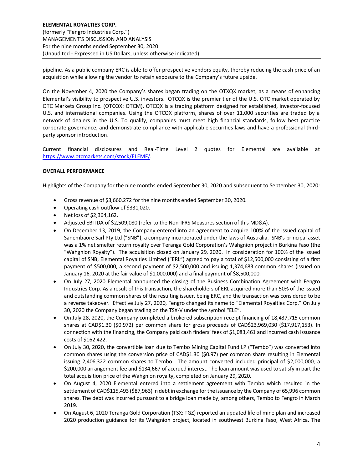pipeline. As a public company ERC is able to offer prospective vendors equity, thereby reducing the cash price of an acquisition while allowing the vendor to retain exposure to the Company's future upside.

On the November 4, 2020 the Company's shares began trading on the OTXQX market, as a means of enhancing Elemental's visibility to prospective U.S. investors. OTCQX is the premier tier of the U.S. OTC market operated by OTC Markets Group Inc. (OTCQX: OTCM). OTCQX is a trading platform designed for established, investor-focused U.S. and international companies. Using the OTCQX platform, shares of over 11,000 securities are traded by a network of dealers in the U.S. To qualify, companies must meet high financial standards, follow best practice corporate governance, and demonstrate compliance with applicable securities laws and have a professional thirdparty sponsor introduction.

Current financial disclosures and Real-Time Level 2 quotes for Elemental are available at [https://www.otcmarkets.com/stock/ELEMF/.](https://www.otcmarkets.com/stock/ELEMF/)

# **OVERALL PERFORMANCE**

Highlights of the Company for the nine months ended September 30, 2020 and subsequent to September 30, 2020:

- Gross revenue of \$3,660,272 for the nine months ended September 30, 2020.
- Operating cash outflow of \$331,020.
- Net loss of \$2,364,162.
- Adjusted EBITDA of \$2,509,080 (refer to the Non-IFRS Measures section of this MD&A).
- On December 13, 2019, the Company entered into an agreement to acquire 100% of the issued capital of Sanembaore Sarl Pty Ltd ("SNB"), a company incorporated under the laws of Australia. SNB's principal asset was a 1% net smelter return royalty over Teranga Gold Corporation's Wahgnion project in Burkina Faso (the "Wahgnion Royalty"). The acquisition closed on January 29, 2020. In consideration for 100% of the issued capital of SNB, Elemental Royalties Limited ("ERL") agreed to pay a total of \$12,500,000 consisting of a first payment of \$500,000, a second payment of \$2,500,000 and issuing 1,374,683 common shares (issued on January 16, 2020 at the fair value of \$1,000,000) and a final payment of \$8,500,000.
- On July 27, 2020 Elemental announced the closing of the Business Combination Agreement with Fengro Industries Corp. As a result of this transaction, the shareholders of ERL acquired more than 50% of the issued and outstanding common shares of the resulting issuer, being ERC, and the transaction was considered to be a reverse takeover. Effective July 27, 2020, Fengro changed its name to "Elemental Royalties Corp." On July 30, 2020 the Company began trading on the TSX-V under the symbol "ELE".
- On July 28, 2020, the Company completed a brokered subscription receipt financing of 18,437,715 common shares at CAD\$1.30 (\$0.972) per common share for gross proceeds of CAD\$23,969,030 (\$17,917,153). In connection with the financing, the Company paid cash finders' fees of \$1,083,461 and incurred cash issuance costs of \$162,422.
- On July 30, 2020, the convertible loan due to Tembo Mining Capital Fund LP ("Tembo") was converted into common shares using the conversion price of CAD\$1.30 (\$0.97) per common share resulting in Elemental issuing 2,406,322 common shares to Tembo. The amount converted included principal of \$2,000,000, a \$200,000 arrangement fee and \$134,667 of accrued interest. The loan amount was used to satisfy in part the total acquisition price of the Wahgnion royalty, completed on January 29, 2020.
- On August 4, 2020 Elemental entered into a settlement agreement with Tembo which resulted in the settlement of CAD\$115,493 (\$87,963) in debt in exchange for the issuance by the Company of 65,996 common shares. The debt was incurred pursuant to a bridge loan made by, among others, Tembo to Fengro in March 2019.
- On August 6, 2020 Teranga Gold Corporation (TSX: TGZ) reported an updated life of mine plan and increased 2020 production guidance for its Wahgnion project, located in southwest Burkina Faso, West Africa. The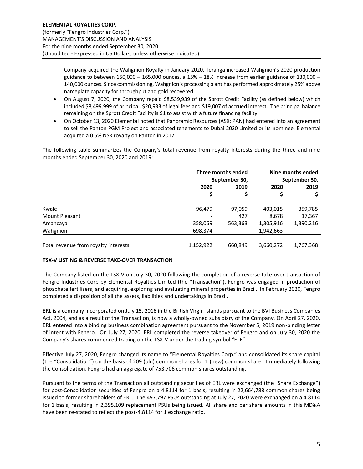Company acquired the Wahgnion Royalty in January 2020. Teranga increased Wahgnion's 2020 production guidance to between  $150,000 - 165,000$  ounces, a  $15% - 18%$  increase from earlier guidance of  $130,000 -$ 140,000 ounces. Since commissioning, Wahgnion's processing plant has performed approximately 25% above nameplate capacity for throughput and gold recovered.

- On August 7, 2020, the Company repaid \$8,539,939 of the Sprott Credit Facility (as defined below) which included \$8,499,999 of principal, \$20,933 of legal fees and \$19,007 of accrued interest. The principal balance remaining on the Sprott Credit Facility is \$1 to assist with a future financing facility.
- On October 13, 2020 Elemental noted that Panoramic Resources (ASX: PAN) had entered into an agreement to sell the Panton PGM Project and associated tenements to Dubai 2020 Limited or its nominee. Elemental acquired a 0.5% NSR royalty on Panton in 2017.

The following table summarizes the Company's total revenue from royalty interests during the three and nine months ended September 30, 2020 and 2019:

|                                      | Three months ended<br>September 30, |         | Nine months ended<br>September 30, |           |  |
|--------------------------------------|-------------------------------------|---------|------------------------------------|-----------|--|
|                                      |                                     |         |                                    |           |  |
|                                      | 2020<br>2019                        |         | 2020                               | 2019      |  |
|                                      |                                     | \$      |                                    |           |  |
|                                      |                                     |         |                                    |           |  |
| Kwale                                | 96.479                              | 97,059  | 403,015                            | 359,785   |  |
| <b>Mount Pleasant</b>                |                                     | 427     | 8,678                              | 17,367    |  |
| Amancaya                             | 358,069                             | 563,363 | 1,305,916                          | 1,390,216 |  |
| Wahgnion                             | 698,374                             |         | 1,942,663                          |           |  |
|                                      |                                     |         |                                    |           |  |
| Total revenue from royalty interests | 1,152,922                           | 660,849 | 3,660,272                          | 1,767,368 |  |

# **TSX-V LISTING & REVERSE TAKE-OVER TRANSACTION**

The Company listed on the TSX-V on July 30, 2020 following the completion of a reverse take over transaction of Fengro Industries Corp by Elemental Royalties Limited (the "Transaction"). Fengro was engaged in production of phosphate fertilizers, and acquiring, exploring and evaluating mineral properties in Brazil. In February 2020, Fengro completed a disposition of all the assets, liabilities and undertakings in Brazil.

ERL is a company incorporated on July 15, 2016 in the British Virgin Islands pursuant to the BVI Business Companies Act, 2004, and as a result of the Transaction, is now a wholly-owned subsidiary of the Company. On April 27, 2020, ERL entered into a binding business combination agreement pursuant to the November 5, 2019 non-binding letter of intent with Fengro. On July 27, 2020, ERL completed the reverse takeover of Fengro and on July 30, 2020 the Company's shares commenced trading on the TSX-V under the trading symbol "ELE".

Effective July 27, 2020, Fengro changed its name to "Elemental Royalties Corp." and consolidated its share capital (the "Consolidation") on the basis of 209 (old) common shares for 1 (new) common share. Immediately following the Consolidation, Fengro had an aggregate of 753,706 common shares outstanding.

Pursuant to the terms of the Transaction all outstanding securities of ERL were exchanged (the "Share Exchange") for post-Consolidation securities of Fengro on a 4.8114 for 1 basis, resulting in 22,664,788 common shares being issued to former shareholders of ERL. The 497,797 PSUs outstanding at July 27, 2020 were exchanged on a 4.8114 for 1 basis, resulting in 2,395,109 replacement PSUs being issued. All share and per share amounts in this MD&A have been re-stated to reflect the post-4.8114 for 1 exchange ratio.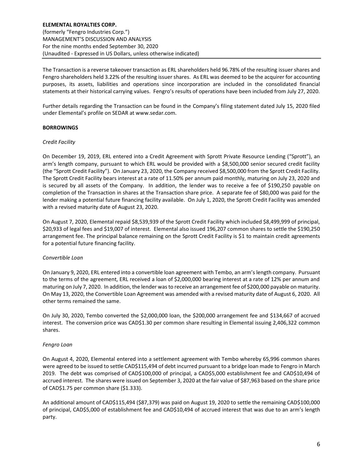The Transaction is a reverse takeover transaction as ERL shareholders held 96.78% of the resulting issuer shares and Fengro shareholders held 3.22% of the resulting issuer shares. As ERL was deemed to be the acquirer for accounting purposes, its assets, liabilities and operations since incorporation are included in the consolidated financial statements at their historical carrying values. Fengro's results of operations have been included from July 27, 2020.

Further details regarding the Transaction can be found in the Company's filing statement dated July 15, 2020 filed under Elemental's profile on SEDAR at www.sedar.com.

#### **BORROWINGS**

#### *Credit Facility*

On December 19, 2019, ERL entered into a Credit Agreement with Sprott Private Resource Lending ("Sprott"), an arm's length company, pursuant to which ERL would be provided with a \$8,500,000 senior secured credit facility (the "Sprott Credit Facility"). On January 23, 2020, the Company received \$8,500,000 from the Sprott Credit Facility. The Sprott Credit Facility bears interest at a rate of 11.50% per annum paid monthly, maturing on July 23, 2020 and is secured by all assets of the Company. In addition, the lender was to receive a fee of \$190,250 payable on completion of the Transaction in shares at the Transaction share price. A separate fee of \$80,000 was paid for the lender making a potential future financing facility available. On July 1, 2020, the Sprott Credit Facility was amended with a revised maturity date of August 23, 2020.

On August 7, 2020, Elemental repaid \$8,539,939 of the Sprott Credit Facility which included \$8,499,999 of principal, \$20,933 of legal fees and \$19,007 of interest. Elemental also issued 196,207 common shares to settle the \$190,250 arrangement fee. The principal balance remaining on the Sprott Credit Facility is \$1 to maintain credit agreements for a potential future financing facility.

#### *Convertible Loan*

On January 9, 2020, ERL entered into a convertible loan agreement with Tembo, an arm's length company. Pursuant to the terms of the agreement, ERL received a loan of \$2,000,000 bearing interest at a rate of 12% per annum and maturing on July 7, 2020. In addition, the lender was to receive an arrangement fee of \$200,000 payable on maturity. On May 13, 2020, the Convertible Loan Agreement was amended with a revised maturity date of August 6, 2020. All other terms remained the same.

On July 30, 2020, Tembo converted the \$2,000,000 loan, the \$200,000 arrangement fee and \$134,667 of accrued interest. The conversion price was CAD\$1.30 per common share resulting in Elemental issuing 2,406,322 common shares.

#### *Fengro Loan*

On August 4, 2020, Elemental entered into a settlement agreement with Tembo whereby 65,996 common shares were agreed to be issued to settle CAD\$115,494 of debt incurred pursuant to a bridge loan made to Fengro in March 2019. The debt was comprised of CAD\$100,000 of principal, a CAD\$5,000 establishment fee and CAD\$10,494 of accrued interest. The shares were issued on September 3, 2020 at the fair value of \$87,963 based on the share price of CAD\$1.75 per common share (\$1.333).

An additional amount of CAD\$115,494 (\$87,379) was paid on August 19, 2020 to settle the remaining CAD\$100,000 of principal, CAD\$5,000 of establishment fee and CAD\$10,494 of accrued interest that was due to an arm's length party.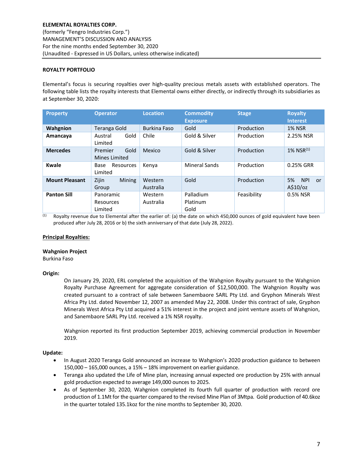# **ROYALTY PORTFOLIO**

Elemental's focus is securing royalties over high-quality precious metals assets with established operators. The following table lists the royalty interests that Elemental owns either directly, or indirectly through its subsidiaries as at September 30, 2020:

| <b>Property</b>       | <b>Operator</b>                   | <b>Location</b>      | <b>Commodity</b><br><b>Exposure</b> | <b>Stage</b> | <b>Royalty</b><br><b>Interest</b>  |
|-----------------------|-----------------------------------|----------------------|-------------------------------------|--------------|------------------------------------|
| Wahgnion              | Teranga Gold                      | <b>Burkina Faso</b>  | Gold                                | Production   | <b>1% NSR</b>                      |
| Amancaya              | Gold<br>Austral<br>Limited        | Chile                | Gold & Silver                       | Production   | 2.25% NSR                          |
| <b>Mercedes</b>       | Gold<br>Premier<br>Mines Limited  | Mexico               | Gold & Silver                       | Production   | $1\%$ NSR $^{(1)}$                 |
| <b>Kwale</b>          | Resources<br>Base<br>Limited      | Kenya                | <b>Mineral Sands</b>                | Production   | 0.25% GRR                          |
| <b>Mount Pleasant</b> | Zijin<br><b>Mining</b><br>Group   | Western<br>Australia | Gold                                | Production   | <b>NPI</b><br>5%<br>or<br>A\$10/oz |
| <b>Panton Sill</b>    | Panoramic<br>Resources<br>Limited | Western<br>Australia | Palladium<br>Platinum<br>Gold       | Feasibility  | 0.5% NSR                           |

 $(1)$  Royalty revenue due to Elemental after the earlier of: (a) the date on which 450,000 ounces of gold equivalent have been produced after July 28, 2016 or b) the sixth anniversary of that date (July 28, 2022).

#### **Principal Royalties:**

#### **Wahgnion Project**

Burkina Faso

#### **Origin:**

On January 29, 2020, ERL completed the acquisition of the Wahgnion Royalty pursuant to the Wahgnion Royalty Purchase Agreement for aggregate consideration of \$12,500,000. The Wahgnion Royalty was created pursuant to a contract of sale between Sanembaore SARL Pty Ltd. and Gryphon Minerals West Africa Pty Ltd. dated November 12, 2007 as amended May 22, 2008. Under this contract of sale, Gryphon Minerals West Africa Pty Ltd acquired a 51% interest in the project and joint venture assets of Wahgnion, and Sanembaore SARL Pty Ltd. received a 1% NSR royalty.

Wahgnion reported its first production September 2019, achieving commercial production in November 2019.

#### **Update:**

- In August 2020 Teranga Gold announced an increase to Wahgnion's 2020 production guidance to between 150,000 – 165,000 ounces, a 15% – 18% improvement on earlier guidance.
- Teranga also updated the Life of Mine plan, increasing annual expected ore production by 25% with annual gold production expected to average 149,000 ounces to 2025.
- As of September 30, 2020, Wahgnion completed its fourth full quarter of production with record ore production of 1.1Mt for the quarter compared to the revised Mine Plan of 3Mtpa. Gold production of 40.6koz in the quarter totaled 135.1koz for the nine months to September 30, 2020.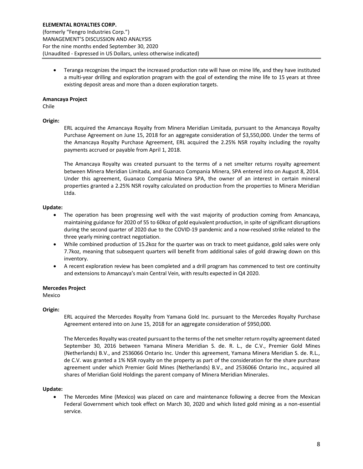• Teranga recognizes the impact the increased production rate will have on mine life, and they have instituted a multi-year drilling and exploration program with the goal of extending the mine life to 15 years at three existing deposit areas and more than a dozen exploration targets.

# **Amancaya Project**

Chile

#### **Origin:**

ERL acquired the Amancaya Royalty from Minera Meridian Limitada, pursuant to the Amancaya Royalty Purchase Agreement on June 15, 2018 for an aggregate consideration of \$3,550,000. Under the terms of the Amancaya Royalty Purchase Agreement, ERL acquired the 2.25% NSR royalty including the royalty payments accrued or payable from April 1, 2018.

The Amancaya Royalty was created pursuant to the terms of a net smelter returns royalty agreement between Minera Meridian Limitada, and Guanaco Compania Minera, SPA entered into on August 8, 2014. Under this agreement, Guanaco Compania Minera SPA, the owner of an interest in certain mineral properties granted a 2.25% NSR royalty calculated on production from the properties to Minera Meridian Ltda.

#### **Update:**

- The operation has been progressing well with the vast majority of production coming from Amancaya, maintaining guidance for 2020 of 55 to 60koz of gold equivalent production, in spite of significant disruptions during the second quarter of 2020 due to the COVID-19 pandemic and a now-resolved strike related to the three yearly mining contract negotiation.
- While combined production of 15.2koz for the quarter was on track to meet guidance, gold sales were only 7.7koz, meaning that subsequent quarters will benefit from additional sales of gold drawing down on this inventory.
- A recent exploration review has been completed and a drill program has commenced to test ore continuity and extensions to Amancaya's main Central Vein, with results expected in Q4 2020.

# **Mercedes Project**

Mexico

# **Origin:**

ERL acquired the Mercedes Royalty from Yamana Gold Inc. pursuant to the Mercedes Royalty Purchase Agreement entered into on June 15, 2018 for an aggregate consideration of \$950,000.

The Mercedes Royalty was created pursuant to the terms of the net smelter return royalty agreement dated September 30, 2016 between Yamana Minera Meridian S. de. R. L., de C.V., Premier Gold Mines (Netherlands) B.V., and 2536066 Ontario Inc. Under this agreement, Yamana Minera Meridian S. de. R.L., de C.V. was granted a 1% NSR royalty on the property as part of the consideration for the share purchase agreement under which Premier Gold Mines (Netherlands) B.V., and 2536066 Ontario Inc., acquired all shares of Meridian Gold Holdings the parent company of Minera Meridian Minerales.

#### **Update:**

The Mercedes Mine (Mexico) was placed on care and maintenance following a decree from the Mexican Federal Government which took effect on March 30, 2020 and which listed gold mining as a non-essential service.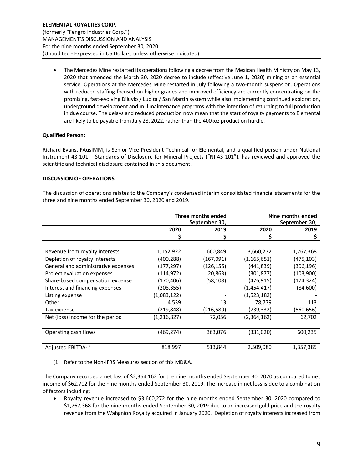• The Mercedes Mine restarted its operations following a decree from the Mexican Health Ministry on May 13, 2020 that amended the March 30, 2020 decree to include (effective June 1, 2020) mining as an essential service. Operations at the Mercedes Mine restarted in July following a two-month suspension. Operations with reduced staffing focused on higher grades and improved efficiency are currently concentrating on the promising, fast-evolving Diluvio / Lupita / San Martin system while also implementing continued exploration, underground development and mill maintenance programs with the intention of returning to full production in due course. The delays and reduced production now mean that the start of royalty payments to Elemental are likely to be payable from July 28, 2022, rather than the 400koz production hurdle.

# **Qualified Person:**

Richard Evans, FAusIMM, is Senior Vice President Technical for Elemental, and a qualified person under National Instrument 43-101 – Standards of Disclosure for Mineral Projects ("NI 43-101"), has reviewed and approved the scientific and technical disclosure contained in this document.

#### **DISCUSSION OF OPERATIONS**

The discussion of operations relates to the Company's condensed interim consolidated financial statements for the three and nine months ended September 30, 2020 and 2019.

|                                     | Three months ended<br>September 30, |            |               | Nine months ended<br>September 30, |
|-------------------------------------|-------------------------------------|------------|---------------|------------------------------------|
|                                     | 2020                                | 2019       | 2020          | 2019                               |
|                                     | \$                                  | \$         |               | \$                                 |
|                                     |                                     |            |               |                                    |
| Revenue from royalty interests      | 1,152,922                           | 660,849    | 3,660,272     | 1,767,368                          |
| Depletion of royalty interests      | (400,288)                           | (167,091)  | (1, 165, 651) | (475,103)                          |
| General and administrative expenses | (177, 297)                          | (126, 155) | (441,839)     | (306,196)                          |
| Project evaluation expenses         | (114, 972)                          | (20, 863)  | (301,877)     | (103,900)                          |
| Share-based compensation expense    | (170,406)                           | (58,108)   | (476,915)     | (174,324)                          |
| Interest and financing expenses     | (208,355)                           |            | (1,454,417)   | (84, 600)                          |
| Listing expense                     | (1,083,122)                         |            | (1,523,182)   |                                    |
| Other                               | 4,539                               | 13         | 78,779        | 113                                |
| Tax expense                         | (219,848)                           | (216,589)  | (739,332)     | (560,656)                          |
| Net (loss) income for the period    | (1,216,827)                         | 72,056     | (2,364,162)   | 62,702                             |
|                                     |                                     |            |               |                                    |
| Operating cash flows                | (469,274)                           | 363,076    | (331,020)     | 600,235                            |
|                                     |                                     |            |               |                                    |
| Adjusted EBITDA <sup>(1)</sup>      | 818,997                             | 513,844    | 2,509,080     | 1,357,385                          |

(1) Refer to the Non-IFRS Measures section of this MD&A.

The Company recorded a net loss of \$2,364,162 for the nine months ended September 30, 2020 as compared to net income of \$62,702 for the nine months ended September 30, 2019. The increase in net loss is due to a combination of factors including:

• Royalty revenue increased to \$3,660,272 for the nine months ended September 30, 2020 compared to \$1,767,368 for the nine months ended September 30, 2019 due to an increased gold price and the royalty revenue from the Wahgnion Royalty acquired in January 2020. Depletion of royalty interests increased from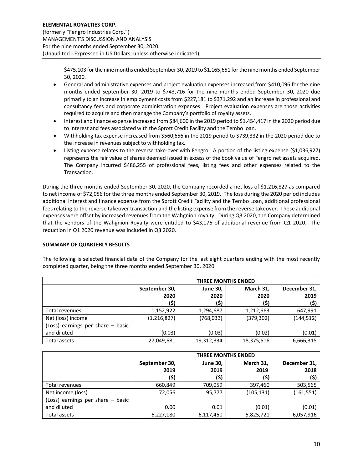\$475,103 for the nine months ended September 30, 2019 to \$1,165,651 for the nine months ended September 30, 2020.

- General and administrative expenses and project evaluation expenses increased from \$410,096 for the nine months ended September 30, 2019 to \$743,716 for the nine months ended September 30, 2020 due primarily to an increase in employment costs from \$227,181 to \$371,292 and an increase in professional and consultancy fees and corporate administration expenses. Project evaluation expenses are those activities required to acquire and then manage the Company's portfolio of royalty assets.
- Interest and finance expense increased from \$84,600 in the 2019 period to \$1,454,417 in the 2020 period due to interest and fees associated with the Sprott Credit Facility and the Tembo loan.
- Withholding tax expense increased from \$560,656 in the 2019 period to \$739,332 in the 2020 period due to the increase in revenues subject to withholding tax.
- Listing expense relates to the reverse take-over with Fengro. A portion of the listing expense (\$1,036,927) represents the fair value of shares deemed issued in excess of the book value of Fengro net assets acquired. The Company incurred \$486,255 of professional fees, listing fees and other expenses related to the Transaction.

During the three months ended September 30, 2020, the Company recorded a net loss of \$1,216,827 as compared to net income of \$72,056 for the three months ended September 30, 2019. The loss during the 2020 period includes additional interest and finance expense from the Sprott Credit Facility and the Tembo Loan, additional professional fees relating to the reverse takeover transaction and the listing expense from the reverse takeover. These additional expenses were offset by increased revenues from the Wahgnion royalty. During Q3 2020, the Company determined that the vendors of the Wahgnion Royalty were entitled to \$43,175 of additional revenue from Q1 2020. The reduction in Q1 2020 revenue was included in Q3 2020.

# **SUMMARY OF QUARTERLY RESULTS**

The following is selected financial data of the Company for the last eight quarters ending with the most recently completed quarter, being the three months ended September 30, 2020.

|                                   | <b>THREE MONTHS ENDED</b> |                 |            |              |  |
|-----------------------------------|---------------------------|-----------------|------------|--------------|--|
|                                   | September 30,             | <b>June 30,</b> | March 31,  | December 31, |  |
|                                   | 2020                      | 2020            | 2020       | 2019         |  |
|                                   | (\$)                      | (\$)            | (\$)       | (\$)         |  |
| Total revenues                    | 1,152,922                 | 1,294,687       | 1,212,663  | 647,991      |  |
| Net (loss) income                 | (1, 216, 827)             | (768, 033)      | (379, 302) | (144, 512)   |  |
| (Loss) earnings per share - basic |                           |                 |            |              |  |
| and diluted                       | (0.03)                    | (0.03)          | (0.02)     | (0.01)       |  |
| Total assets                      | 27,049,681                | 19,312,334      | 18,375,516 | 6,666,315    |  |

|                                   | <b>THREE MONTHS ENDED</b> |                 |            |              |  |
|-----------------------------------|---------------------------|-----------------|------------|--------------|--|
|                                   | September 30,             | <b>June 30,</b> | March 31,  | December 31, |  |
|                                   | 2019                      | 2019            | 2019       | 2018         |  |
|                                   | (\$)                      | (\$)            | (\$)       | (\$)         |  |
| Total revenues                    | 660,849                   | 709,059         | 397,460    | 503,565      |  |
| Net income (loss)                 | 72,056                    | 95,777          | (105, 131) | (161, 551)   |  |
| (Loss) earnings per share – basic |                           |                 |            |              |  |
| and diluted                       | 0.00                      | 0.01            | (0.01)     | (0.01)       |  |
| Total assets                      | 6,227,180                 | 6,117,450       | 5,825,721  | 6,057,916    |  |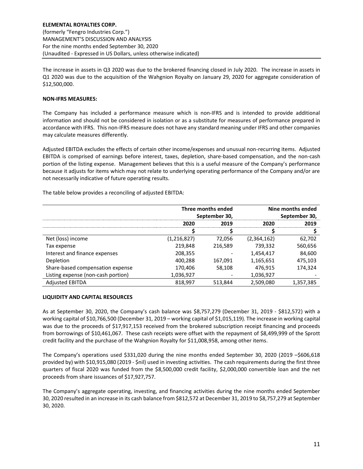The increase in assets in Q3 2020 was due to the brokered financing closed in July 2020. The increase in assets in Q1 2020 was due to the acquisition of the Wahgnion Royalty on January 29, 2020 for aggregate consideration of \$12,500,000.

# **NON-IFRS MEASURES:**

The Company has included a performance measure which is non-IFRS and is intended to provide additional information and should not be considered in isolation or as a substitute for measures of performance prepared in accordance with IFRS. This non-IFRS measure does not have any standard meaning under IFRS and other companies may calculate measures differently.

Adjusted EBITDA excludes the effects of certain other income/expenses and unusual non-recurring items. Adjusted EBITDA is comprised of earnings before interest, taxes, depletion, share-based compensation, and the non-cash portion of the listing expense. Management believes that this is a useful measure of the Company's performance because it adjusts for items which may not relate to underlying operating performance of the Company and/or are not necessarily indicative of future operating results.

The table below provides a reconciling of adjusted EBITDA:

|                                    | Three months ended<br>September 30, |         | Nine months ended<br>September 30, |           |
|------------------------------------|-------------------------------------|---------|------------------------------------|-----------|
|                                    |                                     |         |                                    |           |
|                                    | 2020                                | 2019    | 2020                               | 2019      |
|                                    |                                     |         |                                    |           |
| Net (loss) income                  | (1, 216, 827)                       | 72.056  | (2,364,162)                        | 62,702    |
| Tax expense                        | 219.848                             | 216,589 | 739,332                            | 560,656   |
| Interest and finance expenses      | 208,355                             |         | 1,454,417                          | 84,600    |
| Depletion                          | 400,288                             | 167,091 | 1,165,651                          | 475,103   |
| Share-based compensation expense   | 170,406                             | 58.108  | 476,915                            | 174.324   |
| Listing expense (non-cash portion) | 1,036,927                           |         | 1,036,927                          |           |
| <b>Adjusted EBITDA</b>             | 818,997                             | 513,844 | 2,509,080                          | 1,357,385 |

# **LIQUIDITY AND CAPITAL RESOURCES**

As at September 30, 2020, the Company's cash balance was \$8,757,279 (December 31, 2019 - \$812,572) with a working capital of \$10,766,500 (December 31, 2019 – working capital of \$1,015,119). The increase in working capital was due to the proceeds of \$17,917,153 received from the brokered subscription receipt financing and proceeds from borrowings of \$10,461,067. These cash receipts were offset with the repayment of \$8,499,999 of the Sprott credit facility and the purchase of the Wahgnion Royalty for \$11,008,958, among other items.

The Company's operations used \$331,020 during the nine months ended September 30, 2020 (2019 –\$606,618 provided by) with \$10,915,080 (2019 - \$nil) used in investing activities. The cash requirements during the first three quarters of fiscal 2020 was funded from the \$8,500,000 credit facility, \$2,000,000 convertible loan and the net proceeds from share issuances of \$17,927,757.

The Company's aggregate operating, investing, and financing activities during the nine months ended September 30, 2020 resulted in an increase in its cash balance from \$812,572 at December 31, 2019 to \$8,757,279 at September 30, 2020.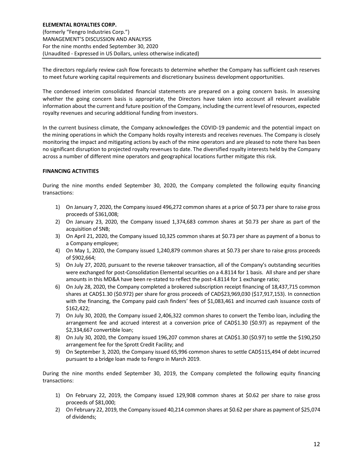The directors regularly review cash flow forecasts to determine whether the Company has sufficient cash reserves to meet future working capital requirements and discretionary business development opportunities.

The condensed interim consolidated financial statements are prepared on a going concern basis. In assessing whether the going concern basis is appropriate, the Directors have taken into account all relevant available information about the current and future position of the Company, including the current level of resources, expected royalty revenues and securing additional funding from investors.

In the current business climate, the Company acknowledges the COVID-19 pandemic and the potential impact on the mining operations in which the Company holds royalty interests and receives revenues. The Company is closely monitoring the impact and mitigating actions by each of the mine operators and are pleased to note there has been no significant disruption to projected royalty revenues to date. The diversified royalty interests held by the Company across a number of different mine operators and geographical locations further mitigate this risk.

# **FINANCING ACTIVITIES**

During the nine months ended September 30, 2020, the Company completed the following equity financing transactions:

- 1) On January 7, 2020, the Company issued 496,272 common shares at a price of \$0.73 per share to raise gross proceeds of \$361,008;
- 2) On January 23, 2020, the Company issued 1,374,683 common shares at \$0.73 per share as part of the acquisition of SNB;
- 3) On April 21, 2020, the Company issued 10,325 common shares at \$0.73 per share as payment of a bonus to a Company employee;
- 4) On May 1, 2020, the Company issued 1,240,879 common shares at \$0.73 per share to raise gross proceeds of \$902,664;
- 5) On July 27, 2020, pursuant to the reverse takeover transaction, all of the Company's outstanding securities were exchanged for post-Consolidation Elemental securities on a 4.8114 for 1 basis. All share and per share amounts in this MD&A have been re-stated to reflect the post-4.8114 for 1 exchange ratio;
- 6) On July 28, 2020, the Company completed a brokered subscription receipt financing of 18,437,715 common shares at CAD\$1.30 (\$0.972) per share for gross proceeds of CAD\$23,969,030 (\$17,917,153). In connection with the financing, the Company paid cash finders' fees of \$1,083,461 and incurred cash issuance costs of \$162,422;
- 7) On July 30, 2020, the Company issued 2,406,322 common shares to convert the Tembo loan, including the arrangement fee and accrued interest at a conversion price of CAD\$1.30 (\$0.97) as repayment of the \$2,334,667 convertible loan;
- 8) On July 30, 2020, the Company issued 196,207 common shares at CAD\$1.30 (\$0.97) to settle the \$190,250 arrangement fee for the Sprott Credit Facility; and
- 9) On September 3, 2020, the Company issued 65,996 common shares to settle CAD\$115,494 of debt incurred pursuant to a bridge loan made to Fengro in March 2019.

During the nine months ended September 30, 2019, the Company completed the following equity financing transactions:

- 1) On February 22, 2019, the Company issued 129,908 common shares at \$0.62 per share to raise gross proceeds of \$81,000;
- 2) On February 22, 2019, the Company issued 40,214 common shares at \$0.62 per share as payment of \$25,074 of dividends;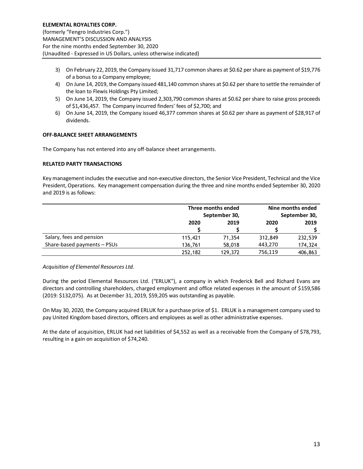- 3) On February 22, 2019, the Company issued 31,717 common shares at \$0.62 per share as payment of \$19,776 of a bonus to a Company employee;
- 4) On June 14, 2019, the Company issued 481,140 common shares at \$0.62 per share to settle the remainder of the loan to Flewis Holdings Pty Limited;
- 5) On June 14, 2019, the Company issued 2,303,790 common shares at \$0.62 per share to raise gross proceeds of \$1,436,457. The Company incurred finders' fees of \$2,700; and
- 6) On June 14, 2019, the Company issued 46,377 common shares at \$0.62 per share as payment of \$28,917 of dividends.

## **OFF-BALANCE SHEET ARRANGEMENTS**

The Company has not entered into any off-balance sheet arrangements.

#### **RELATED PARTY TRANSACTIONS**

Key management includes the executive and non-executive directors, the Senior Vice President, Technical and the Vice President, Operations. Key management compensation during the three and nine months ended September 30, 2020 and 2019 is as follows:

|                             | Three months ended |         | Nine months ended |         |  |
|-----------------------------|--------------------|---------|-------------------|---------|--|
|                             | September 30,      |         | September 30,     |         |  |
|                             | 2020               | 2019    | 2020              | 2019    |  |
|                             |                    |         |                   |         |  |
| Salary, fees and pension    | 115,421            | 71,354  | 312,849           | 232,539 |  |
| Share-based payments - PSUs | 136,761            | 58,018  | 443,270           | 174,324 |  |
|                             | 252,182            | 129,372 | 756,119           | 406,863 |  |

#### *Acquisition of Elemental Resources Ltd.*

During the period Elemental Resources Ltd. ("ERLUK"), a company in which Frederick Bell and Richard Evans are directors and controlling shareholders, charged employment and office related expenses in the amount of \$159,586 (2019: \$132,075). As at December 31, 2019, \$59,205 was outstanding as payable.

On May 30, 2020, the Company acquired ERLUK for a purchase price of \$1. ERLUK is a management company used to pay United Kingdom based directors, officers and employees as well as other administrative expenses.

At the date of acquisition, ERLUK had net liabilities of \$4,552 as well as a receivable from the Company of \$78,793, resulting in a gain on acquisition of \$74,240.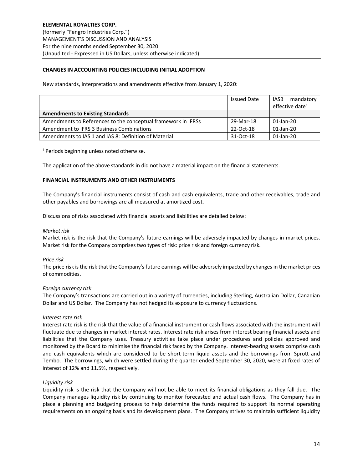# **CHANGES IN ACCOUNTING POLICIES INCLUDING INITIAL ADOPTION**

New standards, interpretations and amendments effective from January 1, 2020:

|                                                               | <b>Issued Date</b> | mandatory<br>IASB<br>effective date <sup>1</sup> |
|---------------------------------------------------------------|--------------------|--------------------------------------------------|
| <b>Amendments to Existing Standards</b>                       |                    |                                                  |
| Amendments to References to the conceptual framework in IFRSs | 29-Mar-18          | 01-Jan-20                                        |
| Amendment to IFRS 3 Business Combinations                     | 22-Oct-18          | 01-Jan-20                                        |
| Amendments to IAS 1 and IAS 8: Definition of Material         | 31-Oct-18          | 01-Jan-20                                        |

<sup>1</sup> Periods beginning unless noted otherwise.

The application of the above standards in did not have a material impact on the financial statements.

#### **FINANCIAL INSTRUMENTS AND OTHER INSTRUMENTS**

The Company's financial instruments consist of cash and cash equivalents, trade and other receivables, trade and other payables and borrowings are all measured at amortized cost.

Discussions of risks associated with financial assets and liabilities are detailed below:

#### *Market risk*

Market risk is the risk that the Company's future earnings will be adversely impacted by changes in market prices. Market risk for the Company comprises two types of risk: price risk and foreign currency risk.

#### *Price risk*

The price risk is the risk that the Company's future earnings will be adversely impacted by changes in the market prices of commodities.

# *Foreign currency risk*

The Company's transactions are carried out in a variety of currencies, including Sterling, Australian Dollar, Canadian Dollar and US Dollar. The Company has not hedged its exposure to currency fluctuations.

#### *Interest rate risk*

Interest rate risk is the risk that the value of a financial instrument or cash flows associated with the instrument will fluctuate due to changes in market interest rates. Interest rate risk arises from interest bearing financial assets and liabilities that the Company uses. Treasury activities take place under procedures and policies approved and monitored by the Board to minimise the financial risk faced by the Company. Interest-bearing assets comprise cash and cash equivalents which are considered to be short-term liquid assets and the borrowings from Sprott and Tembo. The borrowings, which were settled during the quarter ended September 30, 2020, were at fixed rates of interest of 12% and 11.5%, respectively.

# *Liquidity risk*

Liquidity risk is the risk that the Company will not be able to meet its financial obligations as they fall due. The Company manages liquidity risk by continuing to monitor forecasted and actual cash flows. The Company has in place a planning and budgeting process to help determine the funds required to support its normal operating requirements on an ongoing basis and its development plans. The Company strives to maintain sufficient liquidity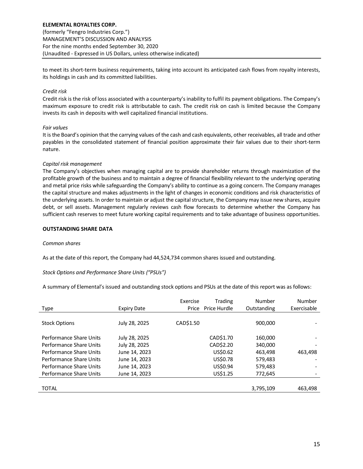to meet its short-term business requirements, taking into account its anticipated cash flows from royalty interests, its holdings in cash and its committed liabilities.

# *Credit risk*

Credit risk is the risk of loss associated with a counterparty's inability to fulfil its payment obligations. The Company's maximum exposure to credit risk is attributable to cash. The credit risk on cash is limited because the Company invests its cash in deposits with well capitalized financial institutions.

#### *Fair values*

It is the Board's opinion that the carrying values of the cash and cash equivalents, other receivables, all trade and other payables in the consolidated statement of financial position approximate their fair values due to their short-term nature.

#### *Capital risk management*

The Company's objectives when managing capital are to provide shareholder returns through maximization of the profitable growth of the business and to maintain a degree of financial flexibility relevant to the underlying operating and metal price risks while safeguarding the Company's ability to continue as a going concern. The Company manages the capital structure and makes adjustments in the light of changes in economic conditions and risk characteristics of the underlying assets. In order to maintain or adjust the capital structure, the Company may issue new shares, acquire debt, or sell assets. Management regularly reviews cash flow forecasts to determine whether the Company has sufficient cash reserves to meet future working capital requirements and to take advantage of business opportunities.

#### **OUTSTANDING SHARE DATA**

#### *Common shares*

As at the date of this report, the Company had 44,524,734 common shares issued and outstanding.

# *Stock Options and Performance Share Units ("PSUs")*

A summary of Elemental's issued and outstanding stock options and PSUs at the date of this report was as follows:

|                         |                    | Exercise  | Trading      | Number      | Number      |
|-------------------------|--------------------|-----------|--------------|-------------|-------------|
| Type                    | <b>Expiry Date</b> | Price     | Price Hurdle | Outstanding | Exercisable |
|                         |                    |           |              |             |             |
| <b>Stock Options</b>    | July 28, 2025      | CAD\$1.50 |              | 900,000     |             |
|                         |                    |           |              |             |             |
| Performance Share Units | July 28, 2025      |           | CAD\$1.70    | 160,000     |             |
| Performance Share Units | July 28, 2025      |           | CAD\$2.20    | 340,000     |             |
| Performance Share Units | June 14, 2023      |           | US\$0.62     | 463,498     | 463,498     |
| Performance Share Units | June 14, 2023      |           | US\$0.78     | 579,483     |             |
| Performance Share Units | June 14, 2023      |           | US\$0.94     | 579,483     |             |
| Performance Share Units | June 14, 2023      |           | US\$1.25     | 772,645     |             |
|                         |                    |           |              |             |             |
| <b>TOTAL</b>            |                    |           |              | 3,795,109   | 463,498     |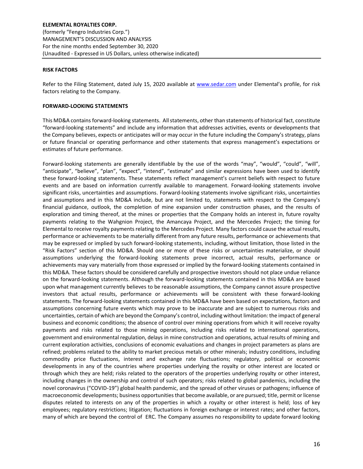#### **RISK FACTORS**

Refer to the Filing Statement, dated July 15, 2020 available at [www.sedar.com](http://www.sedar.com/) under Elemental's profile, for risk factors relating to the Company.

#### **FORWARD-LOOKING STATEMENTS**

This MD&A contains forward-looking statements. All statements, other than statements of historical fact, constitute "forward-looking statements" and include any information that addresses activities, events or developments that the Company believes, expects or anticipates will or may occur in the future including the Company's strategy, plans or future financial or operating performance and other statements that express management's expectations or estimates of future performance.

Forward-looking statements are generally identifiable by the use of the words "may", "would", "could", "will", "anticipate", "believe", "plan", "expect", "intend", "estimate" and similar expressions have been used to identify these forward-looking statements. These statements reflect management's current beliefs with respect to future events and are based on information currently available to management. Forward-looking statements involve significant risks, uncertainties and assumptions. Forward-looking statements involve significant risks, uncertainties and assumptions and in this MD&A include, but are not limited to, statements with respect to the Company's financial guidance, outlook, the completion of mine expansion under construction phases, and the results of exploration and timing thereof, at the mines or properties that the Company holds an interest in, future royalty payments relating to the Wahgnion Project, the Amancaya Project, and the Mercedes Project; the timing for Elemental to receive royalty payments relating to the Mercedes Project. Many factors could cause the actual results, performance or achievements to be materially different from any future results, performance or achievements that may be expressed or implied by such forward-looking statements, including, without limitation, those listed in the "Risk Factors" section of this MD&A. Should one or more of these risks or uncertainties materialize, or should assumptions underlying the forward-looking statements prove incorrect, actual results, performance or achievements may vary materially from those expressed or implied by the forward-looking statements contained in this MD&A. These factors should be considered carefully and prospective investors should not place undue reliance on the forward-looking statements. Although the forward-looking statements contained in this MD&A are based upon what management currently believes to be reasonable assumptions, the Company cannot assure prospective investors that actual results, performance or achievements will be consistent with these forward-looking statements. The forward-looking statements contained in this MD&A have been based on expectations, factors and assumptions concerning future events which may prove to be inaccurate and are subject to numerous risks and uncertainties, certain of which are beyond the Company's control, including without limitation: the impact of general business and economic conditions; the absence of control over mining operations from which it will receive royalty payments and risks related to those mining operations, including risks related to international operations, government and environmental regulation, delays in mine construction and operations, actual results of mining and current exploration activities, conclusions of economic evaluations and changes in project parameters as plans are refined; problems related to the ability to market precious metals or other minerals; industry conditions, including commodity price fluctuations, interest and exchange rate fluctuations; regulatory, political or economic developments in any of the countries where properties underlying the royalty or other interest are located or through which they are held; risks related to the operators of the properties underlying royalty or other interest, including changes in the ownership and control of such operators; risks related to global pandemics, including the novel coronavirus ("COVID-19") global health pandemic, and the spread of other viruses or pathogens; influence of macroeconomic developments; business opportunities that become available, or are pursued; title, permit or license disputes related to interests on any of the properties in which a royalty or other interest is held; loss of key employees; regulatory restrictions; litigation; fluctuations in foreign exchange or interest rates; and other factors, many of which are beyond the control of ERC. The Company assumes no responsibility to update forward looking